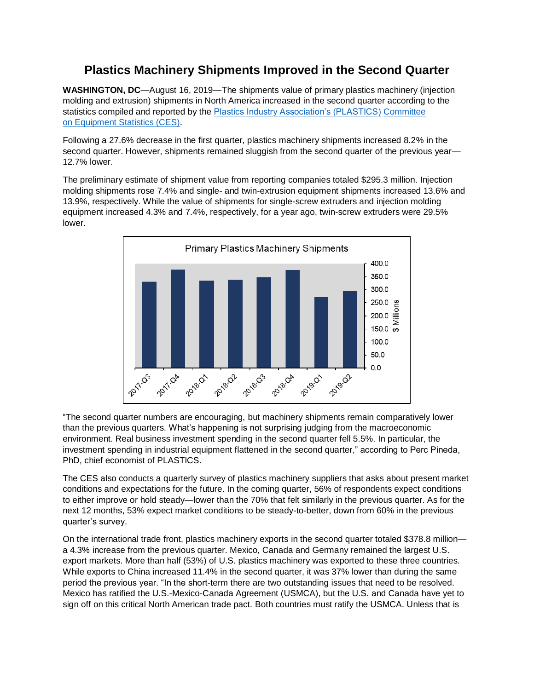## **Plastics Machinery Shipments Improved in the Second Quarter**

**WASHINGTON, DC**—August 16, 2019—The shipments value of primary plastics machinery (injection molding and extrusion) shipments in North America increased in the second quarter according to the statistics compiled and reported by the [Plastics Industry Association's \(PLASTICS\)](https://www.plasticsindustry.org/) [Committee](https://www.plasticsindustry.org/supply-chain/equipment-moldmakers/committee-equipment-statistics-ces)  on [Equipment Statistics \(CES\).](https://www.plasticsindustry.org/supply-chain/equipment-moldmakers/committee-equipment-statistics-ces)

Following a 27.6% decrease in the first quarter, plastics machinery shipments increased 8.2% in the second quarter. However, shipments remained sluggish from the second quarter of the previous year— 12.7% lower.

The preliminary estimate of shipment value from reporting companies totaled \$295.3 million. Injection molding shipments rose 7.4% and single- and twin-extrusion equipment shipments increased 13.6% and 13.9%, respectively. While the value of shipments for single-screw extruders and injection molding equipment increased 4.3% and 7.4%, respectively, for a year ago, twin-screw extruders were 29.5% lower.



"The second quarter numbers are encouraging, but machinery shipments remain comparatively lower than the previous quarters. What's happening is not surprising judging from the macroeconomic environment. Real business investment spending in the second quarter fell 5.5%. In particular, the investment spending in industrial equipment flattened in the second quarter," according to Perc Pineda, PhD, chief economist of PLASTICS.

The CES also conducts a quarterly survey of plastics machinery suppliers that asks about present market conditions and expectations for the future. In the coming quarter, 56% of respondents expect conditions to either improve or hold steady—lower than the 70% that felt similarly in the previous quarter. As for the next 12 months, 53% expect market conditions to be steady-to-better, down from 60% in the previous quarter's survey.

On the international trade front, plastics machinery exports in the second quarter totaled \$378.8 million a 4.3% increase from the previous quarter. Mexico, Canada and Germany remained the largest U.S. export markets. More than half (53%) of U.S. plastics machinery was exported to these three countries. While exports to China increased 11.4% in the second quarter, it was 37% lower than during the same period the previous year. "In the short-term there are two outstanding issues that need to be resolved. Mexico has ratified the U.S.-Mexico-Canada Agreement (USMCA), but the U.S. and Canada have yet to sign off on this critical North American trade pact. Both countries must ratify the USMCA. Unless that is